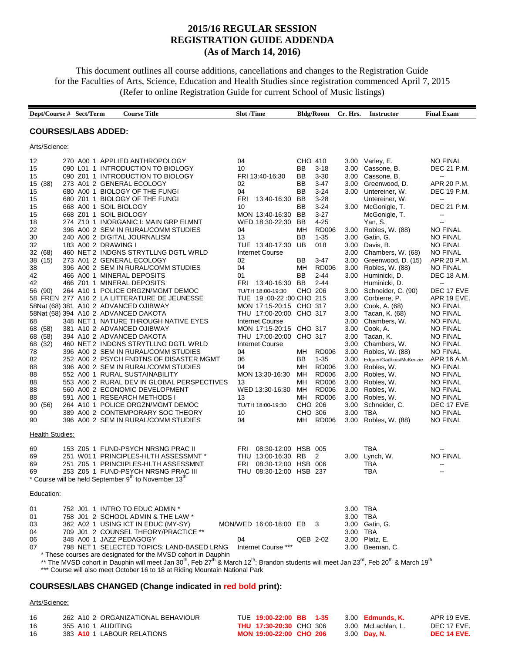# **2015/16 REGULAR SESSION REGISTRATION GUIDE ADDENDA (As of March 14, 2016)**

This document outlines all course additions, cancellations and changes to the Registration Guide for the Faculties of Arts, Science, Education and Health Studies since registration commenced April 7, 2015 (Refer to online Registration Guide for current School of Music listings)

|                                                                                                                                                                                                                                                  | Dept/Course # Sect/Term                                                 | <b>Course Title</b>                                                                                                                                                                                                                                                                                                                                                                                                                                                                                                                                                                                                                                                                                                                                                                                                                                                                                                                                                                                                                                                                                                                | <b>Slot</b> /Time                                                                                                                                                                                                                                                                                                                                                                                                                                                                                                  |                                                                                                                                                                              | <b>Bldg/Room</b>                                                                                                                                                                                                                                                                 | Cr. Hrs.                                                                                                                                                                                                             | <b>Instructor</b>                                                                                                                                                                                                                                                                                                                                                                                                                                                                                                                                                         | <b>Final Exam</b>                                                                                                                                                                                                                                                                                                                                                                                                                                                                                                                                                                                      |
|--------------------------------------------------------------------------------------------------------------------------------------------------------------------------------------------------------------------------------------------------|-------------------------------------------------------------------------|------------------------------------------------------------------------------------------------------------------------------------------------------------------------------------------------------------------------------------------------------------------------------------------------------------------------------------------------------------------------------------------------------------------------------------------------------------------------------------------------------------------------------------------------------------------------------------------------------------------------------------------------------------------------------------------------------------------------------------------------------------------------------------------------------------------------------------------------------------------------------------------------------------------------------------------------------------------------------------------------------------------------------------------------------------------------------------------------------------------------------------|--------------------------------------------------------------------------------------------------------------------------------------------------------------------------------------------------------------------------------------------------------------------------------------------------------------------------------------------------------------------------------------------------------------------------------------------------------------------------------------------------------------------|------------------------------------------------------------------------------------------------------------------------------------------------------------------------------|----------------------------------------------------------------------------------------------------------------------------------------------------------------------------------------------------------------------------------------------------------------------------------|----------------------------------------------------------------------------------------------------------------------------------------------------------------------------------------------------------------------|---------------------------------------------------------------------------------------------------------------------------------------------------------------------------------------------------------------------------------------------------------------------------------------------------------------------------------------------------------------------------------------------------------------------------------------------------------------------------------------------------------------------------------------------------------------------------|--------------------------------------------------------------------------------------------------------------------------------------------------------------------------------------------------------------------------------------------------------------------------------------------------------------------------------------------------------------------------------------------------------------------------------------------------------------------------------------------------------------------------------------------------------------------------------------------------------|
|                                                                                                                                                                                                                                                  | <b>COURSES/LABS ADDED:</b>                                              |                                                                                                                                                                                                                                                                                                                                                                                                                                                                                                                                                                                                                                                                                                                                                                                                                                                                                                                                                                                                                                                                                                                                    |                                                                                                                                                                                                                                                                                                                                                                                                                                                                                                                    |                                                                                                                                                                              |                                                                                                                                                                                                                                                                                  |                                                                                                                                                                                                                      |                                                                                                                                                                                                                                                                                                                                                                                                                                                                                                                                                                           |                                                                                                                                                                                                                                                                                                                                                                                                                                                                                                                                                                                                        |
| Arts/Science:                                                                                                                                                                                                                                    |                                                                         |                                                                                                                                                                                                                                                                                                                                                                                                                                                                                                                                                                                                                                                                                                                                                                                                                                                                                                                                                                                                                                                                                                                                    |                                                                                                                                                                                                                                                                                                                                                                                                                                                                                                                    |                                                                                                                                                                              |                                                                                                                                                                                                                                                                                  |                                                                                                                                                                                                                      |                                                                                                                                                                                                                                                                                                                                                                                                                                                                                                                                                                           |                                                                                                                                                                                                                                                                                                                                                                                                                                                                                                                                                                                                        |
| 12<br>15<br>15<br>15<br>(38)<br>15<br>15<br>15<br>15<br>18<br>22<br>30<br>32<br>32<br>(68)<br>38<br>(15)<br>38<br>42<br>42<br>(90)<br>56<br>68<br>68<br>(58)<br>(58)<br>68<br>(32)<br>68<br>78<br>82<br>88<br>88<br>88<br>88<br>88<br>90<br>(56) | 668 A00 1 SOIL BIOLOGY<br>668 Z01 1 SOIL BIOLOGY<br>183 A00 2 DRAWING I | 270 A00 1 APPLIED ANTHROPOLOGY<br>090 L01 1 INTRODUCTION TO BIOLOGY<br>090 Z01 1 INTRODUCTION TO BIOLOGY<br>273 A01 2 GENERAL ECOLOGY<br>680 A00 1 BIOLOGY OF THE FUNGI<br>680 Z01 1 BIOLOGY OF THE FUNGI<br>274 Z10 1 INORGANIC I: MAIN GRP ELMNT<br>396 A00 2 SEM IN RURAL/COMM STUDIES<br>240 A00 2 DIGITAL JOURNALISM<br>460 NET 2 INDGNS STRYTLLNG DGTL WRLD<br>273 A01 2 GENERAL ECOLOGY<br>396 A00 2 SEM IN RURAL/COMM STUDIES<br>466 A00 1 MINERAL DEPOSITS<br>466 Z01 1 MINERAL DEPOSITS<br>264 A10 1 POLICE ORGZN/MGMT DEMOC<br>58 FREN 277 A10 2 LA LITTERATURE DE JEUNESSE<br>58Nat (68) 381 A10 2 ADVANCED OJIBWAY<br>58Nat (68) 394 A10 2 ADVANCED DAKOTA<br>348 NET 1 NATURE THROUGH NATIVE EYES<br>381 A10 2 ADVANCED OJIBWAY<br>394 A10 2 ADVANCED DAKOTA<br>460 NET 2 INDGNS STRYTLLNG DGTL WRLD<br>396 A00 2 SEM IN RURAL/COMM STUDIES<br>252 A00 2 PSYCH FNDTNS OF DISASTER MGMT<br>396 A00 2 SEM IN RURAL/COMM STUDIES<br>552 A00 1 RURAL SUSTAINABILITY<br>553 A00 2 RURAL DEV IN GLOBAL PERSPECTIVES<br>560 A00 2 ECONOMIC DEVELOPMENT<br>591 A00 1 RESEARCH METHODS I<br>264 A10 1 POLICE ORGZN/MGMT DEMOC | 04<br>10<br>FRI 13:40-16:30<br>02<br>04<br><b>FRI</b><br>13:40-16:30<br>10<br>MON 13:40-16:30<br>WED 18:30-22:30<br>04<br>13<br>TUE 13:40-17:30<br><b>Internet Course</b><br>02<br>04<br>01<br>FRI<br>13:40-16:30<br>TU/TH 18:00-19:30<br>TUE 19:00-22:00 CHO 215<br>MON 17:15-20:15 CHO 317<br>THU 17:00-20:00 CHO 317<br><b>Internet Course</b><br>MON 17:15-20:15 CHO 317<br>THU 17:00-20:00<br><b>Internet Course</b><br>04<br>06<br>04<br>MON 13:30-16:30<br>13<br>WED 13:30-16:30<br>13<br>TU/TH 18:00-19:30 | CHO 410<br>BB<br>BВ<br>BB<br>ΒB<br>BB<br>BB<br>BB<br>BB<br>ΜН<br>BB<br>UB<br>BВ<br>MН<br>BB<br>BB<br>CHO 206<br>CHO 317<br>ΜН<br>BВ<br>MН<br>MН<br>MН<br>MН<br>MН<br>CHO 206 | $3 - 18$<br>$3 - 30$<br>$3-47$<br>$3 - 24$<br>$3-28$<br>$3 - 24$<br>$3-27$<br>$4 - 25$<br><b>RD006</b><br>$1 - 35$<br>018<br>$3-47$<br><b>RD006</b><br>$2 - 44$<br>$2 - 44$<br><b>RD006</b><br>$1 - 35$<br><b>RD006</b><br><b>RD006</b><br>RD006<br><b>RD006</b><br><b>RD006</b> | 3.00<br>3.00<br>3.00<br>3.00<br>3.00<br>3.00<br>3.00<br>3.00<br>3.00<br>3.00<br>3.00<br>3.00<br>3.00<br>3.00<br>3.00<br>3.00<br>3.00<br>3.00<br>3.00<br>3.00<br>3.00<br>3.00<br>3.00<br>3.00<br>3.00<br>3.00<br>3.00 | 3.00 Varley, E.<br>Cassone, B.<br>Cassone, B.<br>Greenwood, D.<br>Untereiner, W.<br>Untereiner, W.<br>3.00 McGonigle, T.<br>McGonigle, T.<br>Yan, S.<br>Robles, W. (88)<br>Gatin, G.<br>Davis, B.<br>Chambers, W. (68)<br>Greenwood, D. (15)<br>Robles, W. (88)<br>Huminicki, D.<br>Huminicki, D.<br>Schneider, C. (90)<br>Corbierre, P.<br>Cook, A. (68)<br>Tacan, K. (68)<br>Chambers, W.<br>Cook, A.<br>Tacan, K.<br>Chambers, W.<br>Robles, W. (88)<br>Edguer/Gadbois/McKenzie<br>Robles, W.<br>Robles, W.<br>Robles, W.<br>Robles, W.<br>Robles, W.<br>Schneider, C. | <b>NO FINAL</b><br>DEC 21 P.M.<br>$\overline{\phantom{a}}$<br>APR 20 P.M.<br>DEC 19 P.M.<br>$\overline{\phantom{a}}$<br>DEC 21 P.M.<br>--<br>44<br><b>NO FINAL</b><br><b>NO FINAL</b><br><b>NO FINAL</b><br><b>NO FINAL</b><br>APR 20 P.M.<br><b>NO FINAL</b><br>DEC 18 A.M.<br>$\overline{\phantom{a}}$<br>DEC 17 EVE<br>APR 19 EVE.<br><b>NO FINAL</b><br><b>NO FINAL</b><br><b>NO FINAL</b><br><b>NO FINAL</b><br><b>NO FINAL</b><br><b>NO FINAL</b><br><b>NO FINAL</b><br>APR 16 A.M.<br><b>NO FINAL</b><br><b>NO FINAL</b><br><b>NO FINAL</b><br><b>NO FINAL</b><br><b>NO FINAL</b><br>DEC 17 EVE |
| 90<br>90                                                                                                                                                                                                                                         |                                                                         | 389 A00 2 CONTEMPORARY SOC THEORY<br>396 A00 2 SEM IN RURAL/COMM STUDIES                                                                                                                                                                                                                                                                                                                                                                                                                                                                                                                                                                                                                                                                                                                                                                                                                                                                                                                                                                                                                                                           | 10<br>04                                                                                                                                                                                                                                                                                                                                                                                                                                                                                                           | CHO 306<br>ΜН                                                                                                                                                                | RD006                                                                                                                                                                                                                                                                            | 3.00<br>3.00                                                                                                                                                                                                         | TBA<br>Robles, W. (88)                                                                                                                                                                                                                                                                                                                                                                                                                                                                                                                                                    | <b>NO FINAL</b><br><b>NO FINAL</b>                                                                                                                                                                                                                                                                                                                                                                                                                                                                                                                                                                     |
| <b>Health Studies:</b>                                                                                                                                                                                                                           |                                                                         |                                                                                                                                                                                                                                                                                                                                                                                                                                                                                                                                                                                                                                                                                                                                                                                                                                                                                                                                                                                                                                                                                                                                    |                                                                                                                                                                                                                                                                                                                                                                                                                                                                                                                    |                                                                                                                                                                              |                                                                                                                                                                                                                                                                                  |                                                                                                                                                                                                                      |                                                                                                                                                                                                                                                                                                                                                                                                                                                                                                                                                                           |                                                                                                                                                                                                                                                                                                                                                                                                                                                                                                                                                                                                        |
| 69<br>69<br>69<br>69                                                                                                                                                                                                                             |                                                                         | 153 Z05 1 FUND-PSYCH NRSNG PRAC II<br>251 W011 PRINCIPLES-HLTH ASSESSMNT *<br>251 Z05 1 PRINCIIPLES-HLTH ASSESSMNT<br>253 Z05 1 FUND-PSYCH NRSNG PRAC III<br>* Course will be held September 9 <sup>th</sup> to November 13 <sup>th</sup>                                                                                                                                                                                                                                                                                                                                                                                                                                                                                                                                                                                                                                                                                                                                                                                                                                                                                          | 08:30-12:00 HSB 005<br>FRI<br>THU 13:00-16:30<br>FRI<br>08:30-12:00 HSB 006<br>THU 08:30-12:00 HSB 237                                                                                                                                                                                                                                                                                                                                                                                                             | RB                                                                                                                                                                           | 2                                                                                                                                                                                                                                                                                |                                                                                                                                                                                                                      | TBA<br>3.00 Lynch, W.<br>TBA<br>TBA                                                                                                                                                                                                                                                                                                                                                                                                                                                                                                                                       | <b>NO FINAL</b><br>$\overline{\phantom{a}}$                                                                                                                                                                                                                                                                                                                                                                                                                                                                                                                                                            |
| Education:                                                                                                                                                                                                                                       |                                                                         |                                                                                                                                                                                                                                                                                                                                                                                                                                                                                                                                                                                                                                                                                                                                                                                                                                                                                                                                                                                                                                                                                                                                    |                                                                                                                                                                                                                                                                                                                                                                                                                                                                                                                    |                                                                                                                                                                              |                                                                                                                                                                                                                                                                                  |                                                                                                                                                                                                                      |                                                                                                                                                                                                                                                                                                                                                                                                                                                                                                                                                                           |                                                                                                                                                                                                                                                                                                                                                                                                                                                                                                                                                                                                        |
| 01<br>01<br>03<br>04<br>06<br>07                                                                                                                                                                                                                 | 348 A00 1 JAZZ PEDAGOGY                                                 | 752 J01 1 INTRO TO EDUC ADMIN *<br>758 J01 2 SCHOOL ADMIN & THE LAW *<br>362 A02 1 USING ICT IN EDUC (MY-SY)<br>709 J01 2 COUNSEL THEORY/PRACTICE **<br>798 NET 1 SELECTED TOPICS: LAND-BASED LRNG<br>* These courses are designated for the MVSD cohort in Dauphin                                                                                                                                                                                                                                                                                                                                                                                                                                                                                                                                                                                                                                                                                                                                                                                                                                                                | MON/WED 16:00-18:00 EB<br>04<br>Internet Course ***                                                                                                                                                                                                                                                                                                                                                                                                                                                                | QEB 2-02                                                                                                                                                                     | - 3                                                                                                                                                                                                                                                                              | 3.00 TBA<br>3.00 TBA<br>3.00 TBA                                                                                                                                                                                     | 3.00 Gatin, G.<br>3.00 Platz, E.<br>3.00 Beeman, C.<br>** The MVSD cohort in Dauphin will meet Jan 30 <sup>th</sup> , Feb 27 <sup>th</sup> & March 12 <sup>th</sup> ; Brandon students will meet Jan 23 <sup>rd</sup> , Feb 20 <sup>th</sup> & March 19 <sup>th</sup>                                                                                                                                                                                                                                                                                                     |                                                                                                                                                                                                                                                                                                                                                                                                                                                                                                                                                                                                        |

\*\*\* Course will also meet October 16 to 18 at Riding Mountain National Park

### **COURSES/LABS CHANGED (Change indicated in red bold print):**

#### Arts/Science:

| 16  | 262 A10 2 ORGANIZATIONAL BEHAVIOUR | TUE 19:00-22:00 BB 1-35        |  | 3.00 <b>Edmunds, K.</b> | APR 19 EVE. |
|-----|------------------------------------|--------------------------------|--|-------------------------|-------------|
| 16  | 355 A10 1 AUDITING                 | <b>THU 17:30-20:30 CHO 306</b> |  | 3.00 McLachlan, L.      | DEC 17 EVE. |
| 16. | 383 A10 1 LABOUR RELATIONS         | MON 19:00-22:00 CHO 206        |  | 3.00 <b>Day, N.</b>     | DEC 14 EVE. |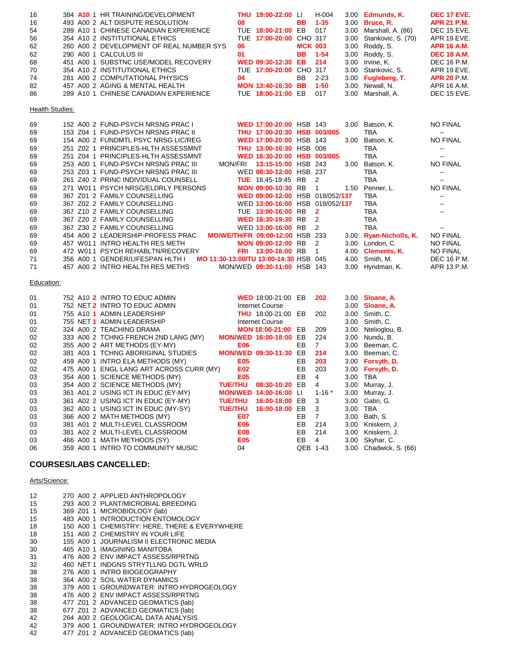| 16 | 384 A10 1 HR TRAINING/DEVELOPMENT        | THU 19:00-22:00 LI      |                | H-004          | 3.00 <b>Edmunds, K.</b> | <b>DEC 17 EVE.</b> |
|----|------------------------------------------|-------------------------|----------------|----------------|-------------------------|--------------------|
| 16 | 493 A00 2 ALT DISPUTE RESOLUTION         | 08                      |                | <b>BB</b> 1-35 | 3.00 <b>Bruce, R.</b>   | <b>APR 21 P.M.</b> |
| 54 | 289 A10 1 CHINESE CANADIAN EXPERIENCE    | TUE 18:00-21:00 EB 017  |                |                | 3.00 Marshall, A. (86)  | DEC 15 EVE.        |
| 56 | 354 A10 2 INSTITUTIONAL ETHICS           | TUE 17:00-20:00 CHO 317 |                |                | 3.00 Stankovic, S. (70) | APR 19 EVE.        |
| 62 | 260 A00 2 DEVELOPMENT OF REAL NUMBER SYS | 06                      | <b>MCK 003</b> |                | 3.00 Roddy, S.          | <b>APR 16 A.M.</b> |
| 62 | 290 A00 1 CALCULUS III                   | 01                      |                | <b>BB</b> 1-54 | 3.00 Roddy, S.          | <b>DEC 18 A.M.</b> |
| 68 | 451 A00 1 SUBSTNC USE/MODEL RECOVERY     | WED 09:30-12:30 EB 214  |                |                | 3.00 Irvine, K.         | DEC 16 P.M.        |
| 70 | 354 A10 2 INSTITUTIONAL ETHICS           | TUE 17:00-20:00 CHO 317 |                |                | 3.00 Stankovic, S.      | APR 19 EVE.        |
| 74 | 281 A00 2 COMPUTATIONAL PHYSICS          | 04                      |                | BB 2-23        | 3.00 Fugleberg, T.      | <b>APR 20 P.M.</b> |
| 82 | 457 A00 2 AGING & MENTAL HEALTH          | MON 13:40-16:30 BB 1-50 |                |                | 3.00 Newall, N.         | APR 16 A.M.        |
| 86 | 289 A10 1 CHINESE CANADIAN EXPERIENCE    | TUE 18:00-21:00 EB 017  |                |                | 3.00 Marshall, A.       | DEC 15 EVE.        |
|    |                                          |                         |                |                |                         |                    |
|    |                                          |                         |                |                |                         |                    |

**Health Studies:** 

| 69 |                                  | 152 A00 2 FUND-PSYCH NRSNG PRAC I   |                                        | WED 17:00-20:00 HSB 143         |                         | 3.00 | Batson, K.             | <b>NO FINAL</b>          |
|----|----------------------------------|-------------------------------------|----------------------------------------|---------------------------------|-------------------------|------|------------------------|--------------------------|
| 69 |                                  | 153 Z04 1 FUND-PSYCH NRSNG PRAC II  |                                        | THU 17:00-20:30 HSB 003/005     |                         |      | TBA                    | $\overline{\phantom{a}}$ |
| 69 |                                  | 154 A00 2 FUNDMTL PSYC NRSG LIC/REG |                                        | WED 17:00-20:00 HSB 143         |                         | 3.00 | Batson, K.             | <b>NO FINAL</b>          |
| 69 |                                  | 251 Z02 1 PRINCIPLES-HLTH ASSESSMNT |                                        | <b>THU 13:00-16:30 HSB 006</b>  |                         |      | TBA                    | $\sim$ $\sim$            |
| 69 |                                  | 251 Z04 1 PRINCIPLES-HLTH ASSESSMNT |                                        | WED 16:30-20:00 HSB 003/005     |                         |      | <b>TBA</b>             | $\sim$ $\sim$            |
| 69 |                                  | 253 A00 1 FUND-PSYCH NRSNG PRAC III | MON/FRI                                | <b>13:15-15:00 HSB 243</b>      |                         | 3.00 | Batson, K.             | <b>NO FINAL</b>          |
| 69 |                                  | 253 Z03 1 FUND-PSYCH NRSNG PRAC III |                                        | WED 08:30-12:00 HSB 237         |                         |      | TBA                    | $\sim$ $\sim$            |
| 69 |                                  | 261 Z40 2 PRINC INDIVIDUAL COUNSELL |                                        | <b>TUE</b> 16:45-19:45 RB       | $\overline{2}$          |      | TBA                    | $\sim$ $\sim$            |
| 69 |                                  | 271 W011 PSYCH NRSG/ELDRLY PERSONS  |                                        | <b>MON 09:00-10:30 RB</b>       | $\overline{1}$          | 1.50 | Penner, L.             | <b>NO FINAL</b>          |
| 69 | 367 Z01 2 FAMILY COUNSELLING     |                                     |                                        | WED 09:00-12:00 HSB 018/052/137 |                         |      | TBA                    | $\sim$                   |
| 69 | 367 Z02 2 FAMILY COUNSELLING     |                                     |                                        | WED 13:00-16:00 HSB 018/052/137 |                         |      | <b>TBA</b>             | $\overline{\phantom{a}}$ |
| 69 | 367 Z10 2 FAMILY COUNSELLING     |                                     |                                        | TUE 13:00-16:00 RB              | $\overline{\mathbf{2}}$ |      | <b>TBA</b>             | $\sim$ $\sim$            |
| 69 | 367 Z20 2 FAMILY COUNSELLING     |                                     |                                        | WED 16:30-19:30 RB              | $\mathcal{L}$           |      | <b>TBA</b>             |                          |
| 69 | 367 Z30 2 FAMILY COUNSELLING     |                                     |                                        | WED 13:00-16:00 RB              | $\mathcal{P}$           |      | <b>TBA</b>             | $\overline{\phantom{m}}$ |
| 69 |                                  | 454 A00 2 LEADERSHIP-PROFESS PRAC   | <b>MO/WE/TH/FR 09:00-12:00 HSB 233</b> |                                 |                         |      | 3.00 Ryan-Nicholls, K. | <b>NO FINAL</b>          |
| 69 | 457 W011 INTRO HEALTH RES METH   |                                     |                                        | <b>MON 09:00-12:00 RB</b>       | $\overline{2}$          | 3.00 | London, C.             | <b>NO FINAL</b>          |
| 69 |                                  | 472 W011 PSYCH REHABLTN/RECOVERY    | <b>FRI</b>                             | 13:00-16:00 RB                  |                         | 4.00 | <b>Clements, K.</b>    | <b>NO FINAL</b>          |
| 71 | 356 A00 1 GENDER/LIFESPAN HLTH I |                                     | MO 11:30-13:00/TU 13:00-14:30 HSB 045  |                                 |                         | 4.00 | Smith, M.              | <b>DEC 16 P.M.</b>       |
| 71 | 457 A00 2 INTRO HEALTH RES METHS |                                     |                                        | MON/WED 09:30-11:00 HSB         | 143                     |      | 3.00 Hyndman, K.       | APR 13 P.M.              |

#### Education:

| 01 |  | 752 A10 2 INTRO TO EDUC ADMIN            |                | <b>WED</b> 18:00-21:00 EB     |          | 202            |      | 3.00 <b>Sloane, A.</b>  |
|----|--|------------------------------------------|----------------|-------------------------------|----------|----------------|------|-------------------------|
| 01 |  | 752 NET 2 INTRO TO EDUC ADMIN            |                | Internet Course               |          |                | 3.00 | Sloane, A.              |
| 01 |  | 755 A10 1 ADMIN LEADERSHIP               |                | <b>THU</b> 18:00-21:00 EB     |          | 202            | 3.00 | Smith, C.               |
| 01 |  | 755 NET 1 ADMIN LEADERSHIP               |                | Internet Course               |          |                | 3.00 | Smith, C.               |
| 02 |  | 324 A00 2 TEACHING DRAMA                 |                | <b>MON 18:00-21:00 EB</b>     |          | 209            | 3.00 | Ntelioglou, B.          |
| 02 |  | 333 A00 2 TCHNG FRENCH 2ND LANG (MY)     |                | <b>MON/WED 16:00-18:00</b>    | EB       | 224            | 3.00 | Nundu, B.               |
| 02 |  | 355 A00 2 ART METHODS (EY-MY)            | <b>E06</b>     |                               | EB       | $\overline{7}$ | 3.00 | Beeman, C.              |
| 02 |  | 381 A03 1 TCHNG ABORIGINAL STUDIES       |                | MON/WED 09:30-11:30 EB        |          | 214            |      | 3.00 Beeman, C.         |
| 02 |  | 459 A00 1 INTRO ELA METHODS (MY)         | E05            |                               | EВ       | 203            |      | 3.00 <b>Forsyth, D.</b> |
| 02 |  | 475 A00 1 ENGL LANG ART ACROSS CURR (MY) | E02            |                               | EB       | 203            |      | 3.00 Forsyth, D.        |
| 03 |  | 354 A00 1 SCIENCE METHODS (MY)           | <b>E05</b>     |                               | EB       | 4              | 3.00 | TBA                     |
| 03 |  | 354 A00 2 SCIENCE METHODS (MY)           | <b>TUE/THU</b> | 08:30-10:20 EB                |          | 4              |      | 3.00 Murray, J.         |
| 03 |  | 361 A01 2 USING ICT IN EDUC (EY-MY)      |                | <b>MON/WED 14:00-16:00 LI</b> |          | $1 - 16$ *     | 3.00 | Murray, J.              |
| 03 |  | 361 A02 2 USING ICT IN EDUC (EY-MY)      | <b>TUE/THU</b> | 16:00-18:00 EB                |          | 3              | 3.00 | Gatin, G.               |
| 03 |  | 362 A00 1 USING ICT IN EDUC (MY-SY)      | <b>TUE/THU</b> | 16:00-18:00 EB                |          | 3              | 3.00 | <b>TBA</b>              |
| 03 |  | 366 A00 2 MATH METHODS (MY)              | E07            |                               | EB       | $\overline{7}$ | 3.00 | Bath, S.                |
| 03 |  | 381 A01 2 MULTI-LEVEL CLASSROOM          | <b>E06</b>     |                               | EB       | 214            | 3.00 | Kniskern, J.            |
| 03 |  | 381 A02 2 MULTI-LEVEL CLASSROOM          | <b>E08</b>     |                               | EB       | 214            | 3.00 | Kniskern, J.            |
| 03 |  | 466 A00 1 MATH METHODS (SY)              | <b>E05</b>     |                               | EB       | 4              |      | 3.00 Skyhar, C.         |
| 06 |  | 359 A00 1 INTRO TO COMMUNITY MUSIC       | 04             |                               | QEB 1-43 |                |      | 3.00 Chadwick, S. (66)  |

## **COURSES/LABS CANCELLED:**

Arts/Science:

| 12 |  | 270 A00 2 APPLIED ANTHROPOLOGY                |
|----|--|-----------------------------------------------|
| 15 |  | 293 A00 2 PLANT/MICROBIAL BREEDING            |
| 15 |  | 369 Z01 1 MICROBIOLOGY (lab)                  |
| 15 |  | 483 A00 1 INTRODUCTION ENTOMOLOGY             |
| 18 |  | 150 A00 1 CHEMISTRY: HERE, THERE & EVERYWHERE |
| 18 |  | 151 A00 2 CHEMISTRY IN YOUR LIFE              |
| 30 |  | 155 A00 1 JOURNALISM II ELECTRONIC MEDIA      |
| 30 |  | 465 A10 1 IMAGINING MANITOBA                  |
| 31 |  | 476 A00 2 ENV IMPACT ASSESS/RPRTNG            |
| 32 |  | 460 NET 1 INDGNS STRYTLLNG DGTL WRLD          |
| 38 |  | 276 A00 1 INTRO BIOGEOGRAPHY                  |
| 38 |  | 364 A00 2 SOIL WATER DYNAMICS                 |
| 38 |  | 379 A00 1 GROUNDWATER: INTRO HYDROGEOLOGY     |
| 38 |  | 476 A00 2 ENV IMPACT ASSESS/RPRTNG            |
| 38 |  | 477 Z01 2 ADVANCED GEOMATICS (lab)            |
| 38 |  | 677 Z01 2 ADVANCED GEOMATICS (lab)            |
| 42 |  | 264 A00 2 GEOLOGICAL DATA ANALYSIS            |
| 42 |  | 379 A00 1 GROUNDWATER: INTRO HYDROGEOLOGY     |
| 42 |  | 477 Z01 2 ADVANCED GEOMATICS (lab)            |
|    |  |                                               |